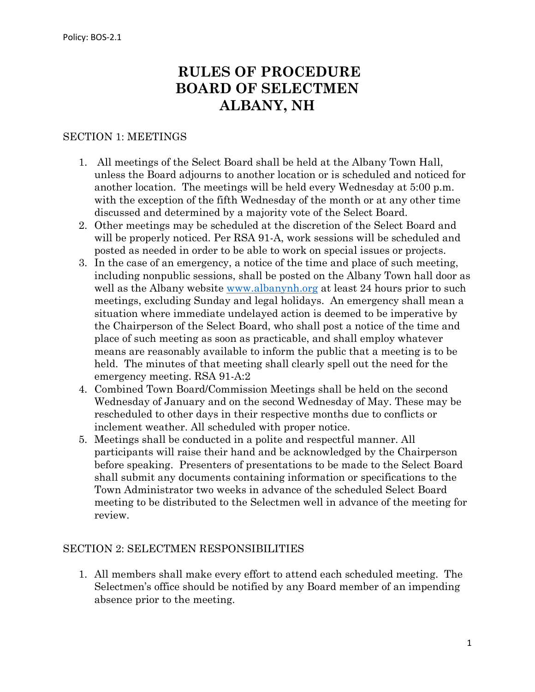# **RULES OF PROCEDURE BOARD OF SELECTMEN ALBANY, NH**

#### SECTION 1: MEETINGS

- 1. All meetings of the Select Board shall be held at the Albany Town Hall, unless the Board adjourns to another location or is scheduled and noticed for another location. The meetings will be held every Wednesday at 5:00 p.m. with the exception of the fifth Wednesday of the month or at any other time discussed and determined by a majority vote of the Select Board.
- 2. Other meetings may be scheduled at the discretion of the Select Board and will be properly noticed. Per RSA 91-A, work sessions will be scheduled and posted as needed in order to be able to work on special issues or projects.
- 3. In the case of an emergency, a notice of the time and place of such meeting, including nonpublic sessions, shall be posted on the Albany Town hall door as well as the Albany website [www.albanynh.org](http://www.albanynh.org/) at least 24 hours prior to such meetings, excluding Sunday and legal holidays. An emergency shall mean a situation where immediate undelayed action is deemed to be imperative by the Chairperson of the Select Board, who shall post a notice of the time and place of such meeting as soon as practicable, and shall employ whatever means are reasonably available to inform the public that a meeting is to be held. The minutes of that meeting shall clearly spell out the need for the emergency meeting. RSA 91-A:2
- 4. Combined Town Board/Commission Meetings shall be held on the second Wednesday of January and on the second Wednesday of May. These may be rescheduled to other days in their respective months due to conflicts or inclement weather. All scheduled with proper notice.
- 5. Meetings shall be conducted in a polite and respectful manner. All participants will raise their hand and be acknowledged by the Chairperson before speaking. Presenters of presentations to be made to the Select Board shall submit any documents containing information or specifications to the Town Administrator two weeks in advance of the scheduled Select Board meeting to be distributed to the Selectmen well in advance of the meeting for review.

#### SECTION 2: SELECTMEN RESPONSIBILITIES

1. All members shall make every effort to attend each scheduled meeting. The Selectmen's office should be notified by any Board member of an impending absence prior to the meeting.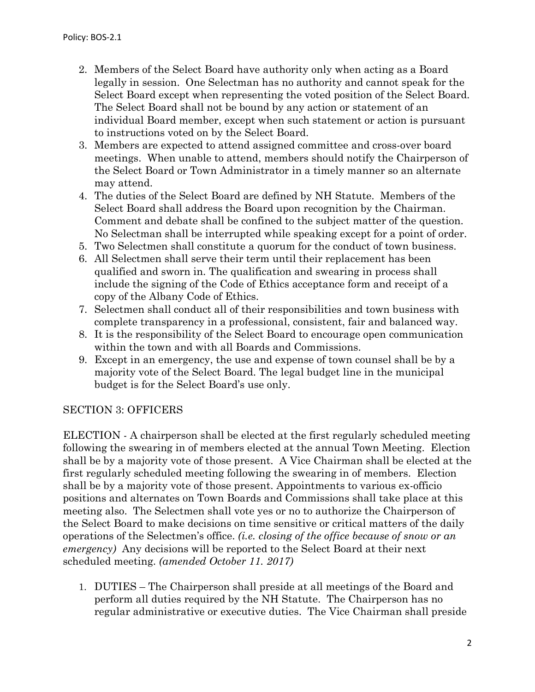- 2. Members of the Select Board have authority only when acting as a Board legally in session. One Selectman has no authority and cannot speak for the Select Board except when representing the voted position of the Select Board. The Select Board shall not be bound by any action or statement of an individual Board member, except when such statement or action is pursuant to instructions voted on by the Select Board.
- 3. Members are expected to attend assigned committee and cross-over board meetings. When unable to attend, members should notify the Chairperson of the Select Board or Town Administrator in a timely manner so an alternate may attend.
- 4. The duties of the Select Board are defined by NH Statute. Members of the Select Board shall address the Board upon recognition by the Chairman. Comment and debate shall be confined to the subject matter of the question. No Selectman shall be interrupted while speaking except for a point of order.
- 5. Two Selectmen shall constitute a quorum for the conduct of town business.
- 6. All Selectmen shall serve their term until their replacement has been qualified and sworn in. The qualification and swearing in process shall include the signing of the Code of Ethics acceptance form and receipt of a copy of the Albany Code of Ethics.
- 7. Selectmen shall conduct all of their responsibilities and town business with complete transparency in a professional, consistent, fair and balanced way.
- 8. It is the responsibility of the Select Board to encourage open communication within the town and with all Boards and Commissions.
- 9. Except in an emergency, the use and expense of town counsel shall be by a majority vote of the Select Board. The legal budget line in the municipal budget is for the Select Board's use only.

### SECTION 3: OFFICERS

ELECTION - A chairperson shall be elected at the first regularly scheduled meeting following the swearing in of members elected at the annual Town Meeting. Election shall be by a majority vote of those present. A Vice Chairman shall be elected at the first regularly scheduled meeting following the swearing in of members. Election shall be by a majority vote of those present. Appointments to various ex-officio positions and alternates on Town Boards and Commissions shall take place at this meeting also. The Selectmen shall vote yes or no to authorize the Chairperson of the Select Board to make decisions on time sensitive or critical matters of the daily operations of the Selectmen's office. *(i.e. closing of the office because of snow or an emergency)* Any decisions will be reported to the Select Board at their next scheduled meeting. *(amended October 11. 2017)*

1. DUTIES – The Chairperson shall preside at all meetings of the Board and perform all duties required by the NH Statute. The Chairperson has no regular administrative or executive duties. The Vice Chairman shall preside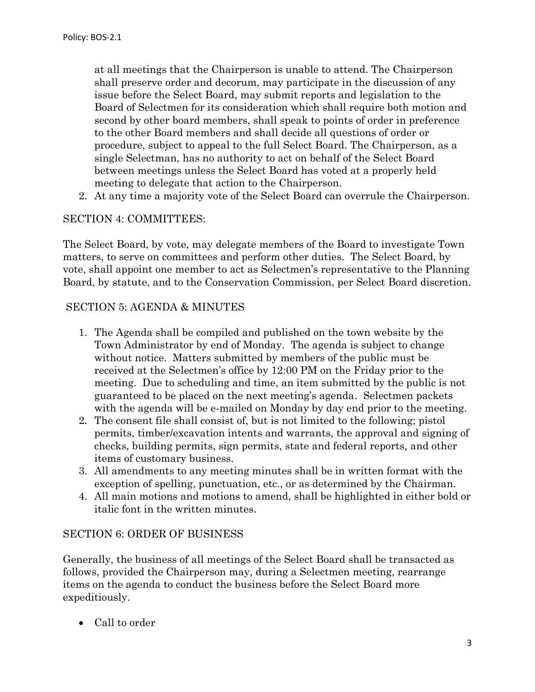at all meetings that the Chairperson is unable to attend. The Chairperson shall preserve order and decorum, may participate in the discussion of any issue before the Select Board, may submit reports and legislation to the Board of Selectmen for its consideration which shall require both motion and second by other board members, shall speak to points of order in preference to the other Board members and shall decide all questions of order or procedure, subject to appeal to the full Select Board. The Chairperson, as a single Selectman, has no authority to act on behalf of the Select Board between meetings unless the Select Board has voted at a properly held meeting to delegate that action to the Chairperson.

2. At any time a majority vote of the Select Board can overrule the Chairperson.

#### SECTION 4: COMMITTEES:

The Select Board, by vote, may delegate members of the Board to investigate Town matters, to serve on committees and perform other duties. The Select Board, by vote, shall appoint one member to act as Selectmen's representative to the Planning Board, by statute, and to the Conservation Commission, per Select Board discretion.

#### SECTION 5: AGENDA & MINUTES

- 1. The Agenda shall be compiled and published on the town website by the Town Administrator by end of Monday. The agenda is subject to change without notice. Matters submitted by members of the public must be received at the Selectmen's office by 12:00 PM on the Friday prior to the meeting. Due to scheduling and time, an item submitted by the public is not guaranteed to be placed on the next meeting's agenda. Selectmen packets with the agenda will be e-mailed on Monday by day end prior to the meeting.
- 2. The consent file shall consist of, but is not limited to the following; pistol permits, timber/excavation intents and warrants, the approval and signing of checks, building permits, sign permits, state and federal reports, and other items of customary business.
- 3. All amendments to any meeting minutes shall be in written format with the exception of spelling, punctuation, etc., or as determined by the Chairman.
- 4. All main motions and motions to amend, shall be highlighted in either bold or italic font in the written minutes.

#### SECTION 6: ORDER OF BUSINESS

Generally, the business of all meetings of the Select Board shall be transacted as follows, provided the Chairperson may, during a Selectmen meeting, rearrange items on the agenda to conduct the business before the Select Board more expeditiously.

• Call to order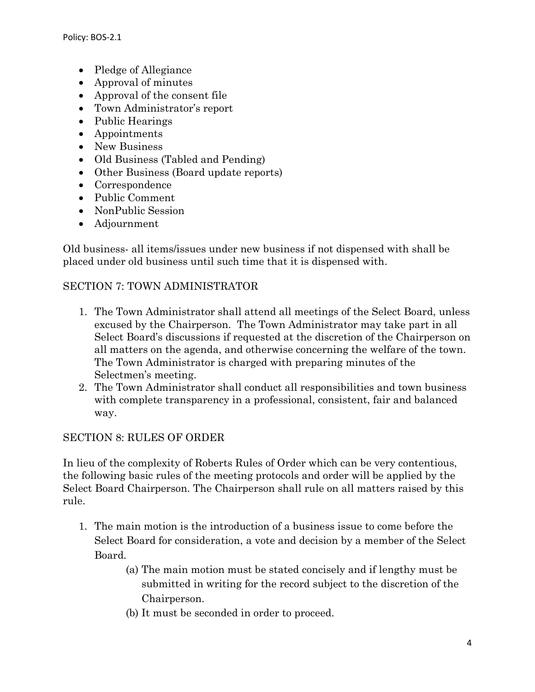- Pledge of Allegiance
- Approval of minutes
- Approval of the consent file
- Town Administrator's report
- Public Hearings
- Appointments
- New Business
- Old Business (Tabled and Pending)
- Other Business (Board update reports)
- Correspondence
- Public Comment
- NonPublic Session
- Adjournment

Old business- all items/issues under new business if not dispensed with shall be placed under old business until such time that it is dispensed with.

### SECTION 7: TOWN ADMINISTRATOR

- 1. The Town Administrator shall attend all meetings of the Select Board, unless excused by the Chairperson. The Town Administrator may take part in all Select Board's discussions if requested at the discretion of the Chairperson on all matters on the agenda, and otherwise concerning the welfare of the town. The Town Administrator is charged with preparing minutes of the Selectmen's meeting.
- 2. The Town Administrator shall conduct all responsibilities and town business with complete transparency in a professional, consistent, fair and balanced way.

### SECTION 8: RULES OF ORDER

In lieu of the complexity of Roberts Rules of Order which can be very contentious, the following basic rules of the meeting protocols and order will be applied by the Select Board Chairperson. The Chairperson shall rule on all matters raised by this rule.

- 1. The main motion is the introduction of a business issue to come before the Select Board for consideration, a vote and decision by a member of the Select Board.
	- (a) The main motion must be stated concisely and if lengthy must be submitted in writing for the record subject to the discretion of the Chairperson.
	- (b) It must be seconded in order to proceed.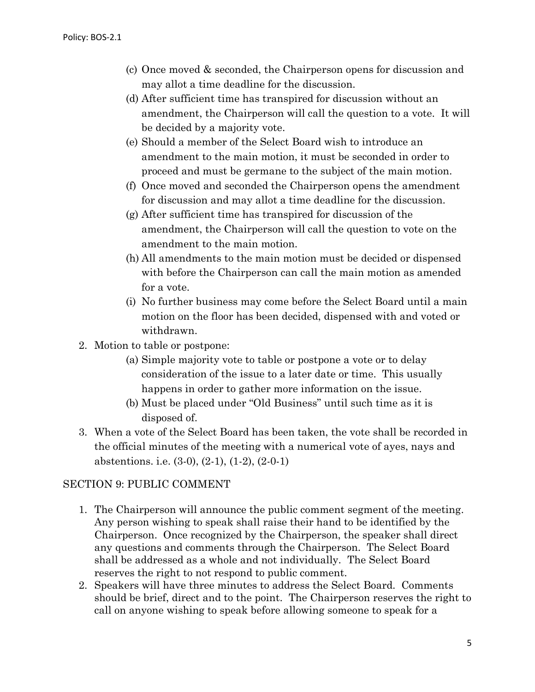- (c) Once moved & seconded, the Chairperson opens for discussion and may allot a time deadline for the discussion.
- (d) After sufficient time has transpired for discussion without an amendment, the Chairperson will call the question to a vote. It will be decided by a majority vote.
- (e) Should a member of the Select Board wish to introduce an amendment to the main motion, it must be seconded in order to proceed and must be germane to the subject of the main motion.
- (f) Once moved and seconded the Chairperson opens the amendment for discussion and may allot a time deadline for the discussion.
- (g) After sufficient time has transpired for discussion of the amendment, the Chairperson will call the question to vote on the amendment to the main motion.
- (h) All amendments to the main motion must be decided or dispensed with before the Chairperson can call the main motion as amended for a vote.
- (i) No further business may come before the Select Board until a main motion on the floor has been decided, dispensed with and voted or withdrawn.
- 2. Motion to table or postpone:
	- (a) Simple majority vote to table or postpone a vote or to delay consideration of the issue to a later date or time. This usually happens in order to gather more information on the issue.
	- (b) Must be placed under "Old Business" until such time as it is disposed of.
- 3. When a vote of the Select Board has been taken, the vote shall be recorded in the official minutes of the meeting with a numerical vote of ayes, nays and abstentions. i.e. (3-0), (2-1), (1-2), (2-0-1)

### SECTION 9: PUBLIC COMMENT

- 1. The Chairperson will announce the public comment segment of the meeting. Any person wishing to speak shall raise their hand to be identified by the Chairperson. Once recognized by the Chairperson, the speaker shall direct any questions and comments through the Chairperson. The Select Board shall be addressed as a whole and not individually. The Select Board reserves the right to not respond to public comment.
- 2. Speakers will have three minutes to address the Select Board. Comments should be brief, direct and to the point. The Chairperson reserves the right to call on anyone wishing to speak before allowing someone to speak for a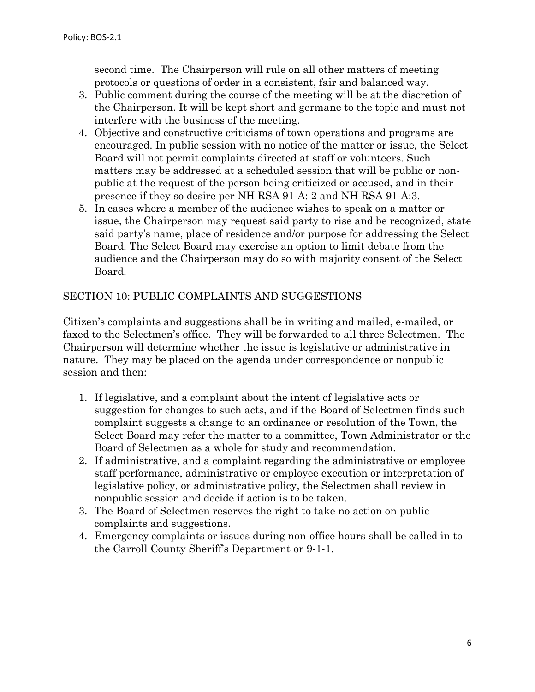second time. The Chairperson will rule on all other matters of meeting protocols or questions of order in a consistent, fair and balanced way.

- 3. Public comment during the course of the meeting will be at the discretion of the Chairperson. It will be kept short and germane to the topic and must not interfere with the business of the meeting.
- 4. Objective and constructive criticisms of town operations and programs are encouraged. In public session with no notice of the matter or issue, the Select Board will not permit complaints directed at staff or volunteers. Such matters may be addressed at a scheduled session that will be public or nonpublic at the request of the person being criticized or accused, and in their presence if they so desire per NH RSA 91-A: 2 and NH RSA 91-A:3.
- 5. In cases where a member of the audience wishes to speak on a matter or issue, the Chairperson may request said party to rise and be recognized, state said party's name, place of residence and/or purpose for addressing the Select Board. The Select Board may exercise an option to limit debate from the audience and the Chairperson may do so with majority consent of the Select Board.

#### SECTION 10: PUBLIC COMPLAINTS AND SUGGESTIONS

Citizen's complaints and suggestions shall be in writing and mailed, e-mailed, or faxed to the Selectmen's office. They will be forwarded to all three Selectmen. The Chairperson will determine whether the issue is legislative or administrative in nature. They may be placed on the agenda under correspondence or nonpublic session and then:

- 1. If legislative, and a complaint about the intent of legislative acts or suggestion for changes to such acts, and if the Board of Selectmen finds such complaint suggests a change to an ordinance or resolution of the Town, the Select Board may refer the matter to a committee, Town Administrator or the Board of Selectmen as a whole for study and recommendation.
- 2. If administrative, and a complaint regarding the administrative or employee staff performance, administrative or employee execution or interpretation of legislative policy, or administrative policy, the Selectmen shall review in nonpublic session and decide if action is to be taken.
- 3. The Board of Selectmen reserves the right to take no action on public complaints and suggestions.
- 4. Emergency complaints or issues during non-office hours shall be called in to the Carroll County Sheriff's Department or 9-1-1.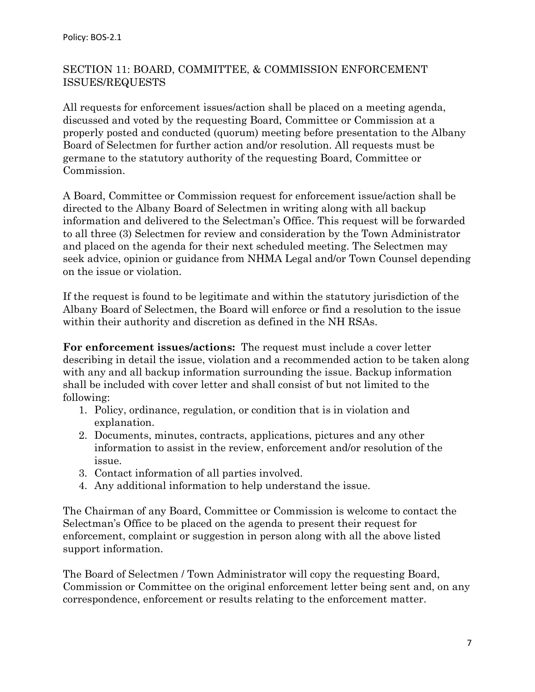### SECTION 11: BOARD, COMMITTEE, & COMMISSION ENFORCEMENT ISSUES/REQUESTS

All requests for enforcement issues/action shall be placed on a meeting agenda, discussed and voted by the requesting Board, Committee or Commission at a properly posted and conducted (quorum) meeting before presentation to the Albany Board of Selectmen for further action and/or resolution. All requests must be germane to the statutory authority of the requesting Board, Committee or Commission.

A Board, Committee or Commission request for enforcement issue/action shall be directed to the Albany Board of Selectmen in writing along with all backup information and delivered to the Selectman's Office. This request will be forwarded to all three (3) Selectmen for review and consideration by the Town Administrator and placed on the agenda for their next scheduled meeting. The Selectmen may seek advice, opinion or guidance from NHMA Legal and/or Town Counsel depending on the issue or violation.

If the request is found to be legitimate and within the statutory jurisdiction of the Albany Board of Selectmen, the Board will enforce or find a resolution to the issue within their authority and discretion as defined in the NH RSAs.

**For enforcement issues/actions:** The request must include a cover letter describing in detail the issue, violation and a recommended action to be taken along with any and all backup information surrounding the issue. Backup information shall be included with cover letter and shall consist of but not limited to the following:

- 1. Policy, ordinance, regulation, or condition that is in violation and explanation.
- 2. Documents, minutes, contracts, applications, pictures and any other information to assist in the review, enforcement and/or resolution of the issue.
- 3. Contact information of all parties involved.
- 4. Any additional information to help understand the issue.

The Chairman of any Board, Committee or Commission is welcome to contact the Selectman's Office to be placed on the agenda to present their request for enforcement, complaint or suggestion in person along with all the above listed support information.

The Board of Selectmen / Town Administrator will copy the requesting Board, Commission or Committee on the original enforcement letter being sent and, on any correspondence, enforcement or results relating to the enforcement matter.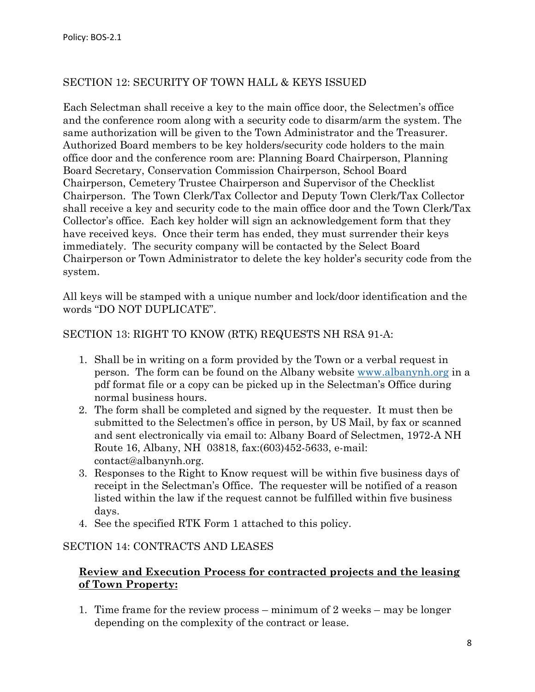### SECTION 12: SECURITY OF TOWN HALL & KEYS ISSUED

Each Selectman shall receive a key to the main office door, the Selectmen's office and the conference room along with a security code to disarm/arm the system. The same authorization will be given to the Town Administrator and the Treasurer. Authorized Board members to be key holders/security code holders to the main office door and the conference room are: Planning Board Chairperson, Planning Board Secretary, Conservation Commission Chairperson, School Board Chairperson, Cemetery Trustee Chairperson and Supervisor of the Checklist Chairperson. The Town Clerk/Tax Collector and Deputy Town Clerk/Tax Collector shall receive a key and security code to the main office door and the Town Clerk/Tax Collector's office. Each key holder will sign an acknowledgement form that they have received keys. Once their term has ended, they must surrender their keys immediately. The security company will be contacted by the Select Board Chairperson or Town Administrator to delete the key holder's security code from the system.

All keys will be stamped with a unique number and lock/door identification and the words "DO NOT DUPLICATE".

#### SECTION 13: RIGHT TO KNOW (RTK) REQUESTS NH RSA 91-A:

- 1. Shall be in writing on a form provided by the Town or a verbal request in person. The form can be found on the Albany website [www.albanynh.org](http://www.albanynh.org/) in a pdf format file or a copy can be picked up in the Selectman's Office during normal business hours.
- 2. The form shall be completed and signed by the requester. It must then be submitted to the Selectmen's office in person, by US Mail, by fax or scanned and sent electronically via email to: Albany Board of Selectmen, 1972-A NH Route 16, Albany, NH 03818, fax:(603)452-5633, e-mail: contact@albanynh.org.
- 3. Responses to the Right to Know request will be within five business days of receipt in the Selectman's Office. The requester will be notified of a reason listed within the law if the request cannot be fulfilled within five business days.
- 4. See the specified RTK Form 1 attached to this policy.

#### SECTION 14: CONTRACTS AND LEASES

### **Review and Execution Process for contracted projects and the leasing of Town Property:**

1. Time frame for the review process – minimum of 2 weeks – may be longer depending on the complexity of the contract or lease.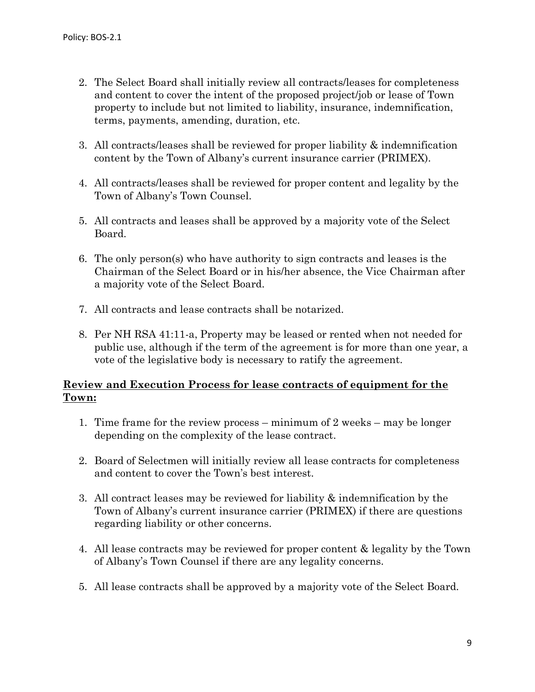- 2. The Select Board shall initially review all contracts/leases for completeness and content to cover the intent of the proposed project/job or lease of Town property to include but not limited to liability, insurance, indemnification, terms, payments, amending, duration, etc.
- 3. All contracts/leases shall be reviewed for proper liability & indemnification content by the Town of Albany's current insurance carrier (PRIMEX).
- 4. All contracts/leases shall be reviewed for proper content and legality by the Town of Albany's Town Counsel.
- 5. All contracts and leases shall be approved by a majority vote of the Select Board.
- 6. The only person(s) who have authority to sign contracts and leases is the Chairman of the Select Board or in his/her absence, the Vice Chairman after a majority vote of the Select Board.
- 7. All contracts and lease contracts shall be notarized.
- 8. Per NH RSA 41:11-a, Property may be leased or rented when not needed for public use, although if the term of the agreement is for more than one year, a vote of the legislative body is necessary to ratify the agreement.

#### **Review and Execution Process for lease contracts of equipment for the Town:**

- 1. Time frame for the review process minimum of 2 weeks may be longer depending on the complexity of the lease contract.
- 2. Board of Selectmen will initially review all lease contracts for completeness and content to cover the Town's best interest.
- 3. All contract leases may be reviewed for liability & indemnification by the Town of Albany's current insurance carrier (PRIMEX) if there are questions regarding liability or other concerns.
- 4. All lease contracts may be reviewed for proper content & legality by the Town of Albany's Town Counsel if there are any legality concerns.
- 5. All lease contracts shall be approved by a majority vote of the Select Board.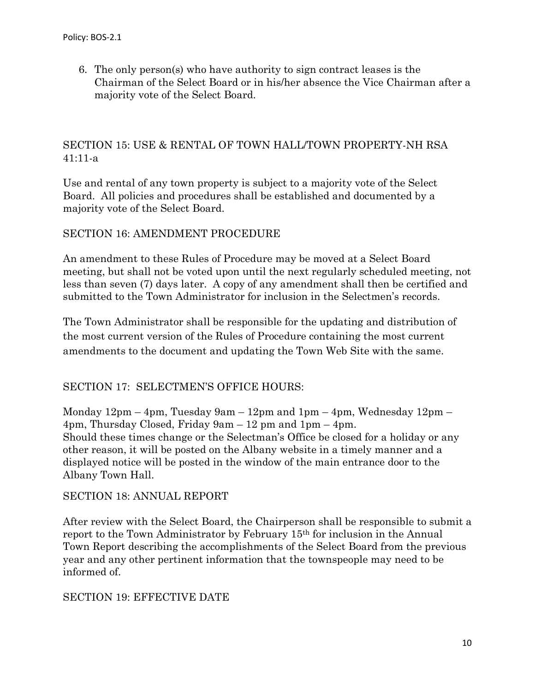6. The only person(s) who have authority to sign contract leases is the Chairman of the Select Board or in his/her absence the Vice Chairman after a majority vote of the Select Board.

### SECTION 15: USE & RENTAL OF TOWN HALL/TOWN PROPERTY-NH RSA 41:11-a

Use and rental of any town property is subject to a majority vote of the Select Board. All policies and procedures shall be established and documented by a majority vote of the Select Board.

### SECTION 16: AMENDMENT PROCEDURE

An amendment to these Rules of Procedure may be moved at a Select Board meeting, but shall not be voted upon until the next regularly scheduled meeting, not less than seven (7) days later. A copy of any amendment shall then be certified and submitted to the Town Administrator for inclusion in the Selectmen's records.

The Town Administrator shall be responsible for the updating and distribution of the most current version of the Rules of Procedure containing the most current amendments to the document and updating the Town Web Site with the same.

### SECTION 17: SELECTMEN'S OFFICE HOURS:

Monday 12pm – 4pm, Tuesday 9am – 12pm and 1pm – 4pm, Wednesday 12pm – 4pm, Thursday Closed, Friday 9am – 12 pm and 1pm – 4pm. Should these times change or the Selectman's Office be closed for a holiday or any other reason, it will be posted on the Albany website in a timely manner and a displayed notice will be posted in the window of the main entrance door to the Albany Town Hall.

#### SECTION 18: ANNUAL REPORT

After review with the Select Board, the Chairperson shall be responsible to submit a report to the Town Administrator by February 15th for inclusion in the Annual Town Report describing the accomplishments of the Select Board from the previous year and any other pertinent information that the townspeople may need to be informed of.

#### SECTION 19: EFFECTIVE DATE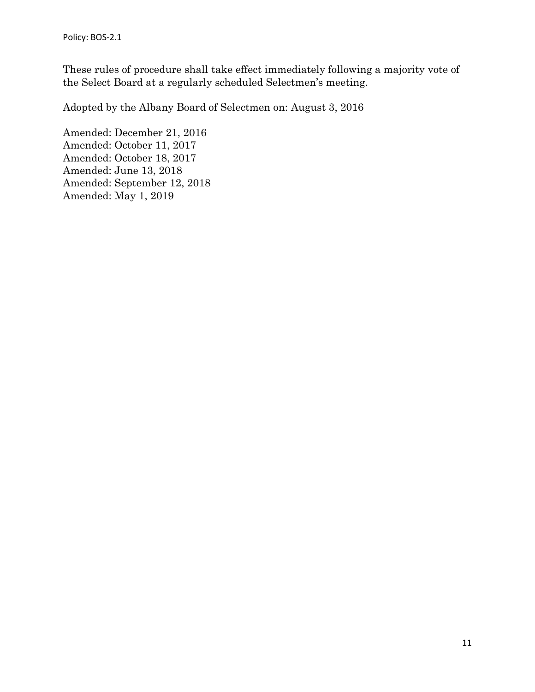These rules of procedure shall take effect immediately following a majority vote of the Select Board at a regularly scheduled Selectmen's meeting.

Adopted by the Albany Board of Selectmen on: August 3, 2016

Amended: December 21, 2016 Amended: October 11, 2017 Amended: October 18, 2017 Amended: June 13, 2018 Amended: September 12, 2018 Amended: May 1, 2019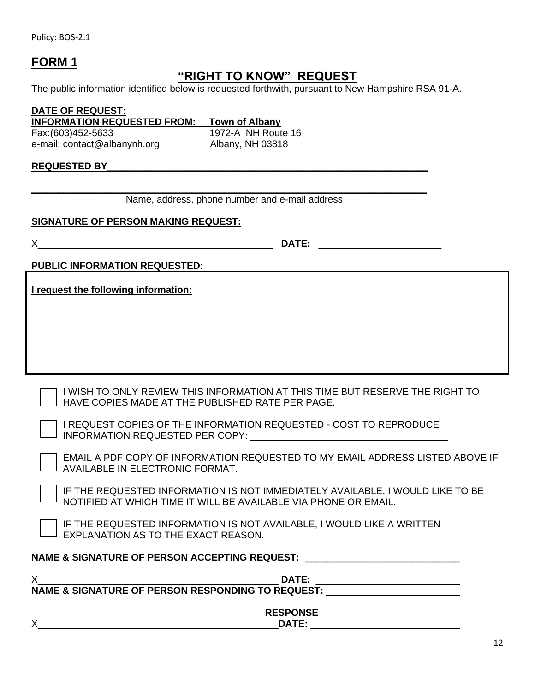Policy: BOS-2.1

## **FORM 1**

## **"RIGHT TO KNOW" REQUEST**

The public information identified below is requested forthwith, pursuant to New Hampshire RSA 91-A.

**DATE OF REQUEST: INFORMATION REQUESTED FROM: Town of Albany** Fax:(603)452-5633 1972-A NH Route 16 e-mail: contact@albanynh.org Albany, NH 03818

#### **REQUESTED BY\_\_\_\_\_\_\_\_\_\_\_\_\_\_\_\_\_\_\_\_\_\_\_\_\_\_\_\_\_\_\_\_\_\_\_\_\_\_\_\_\_\_\_\_\_\_\_\_\_\_\_\_\_\_\_\_\_\_\_\_**

**\_\_\_\_\_\_\_\_\_\_\_\_\_\_\_\_\_\_\_\_\_\_\_\_\_\_\_\_\_\_\_\_\_\_\_\_\_\_\_\_\_\_\_\_\_\_\_\_\_\_\_\_\_\_\_\_\_\_\_\_\_\_\_\_\_\_\_\_\_\_\_\_\_\_**  Name, address, phone number and e-mail address

#### **SIGNATURE OF PERSON MAKING REQUEST:**

X\_\_\_\_\_\_\_\_\_\_\_\_\_\_\_\_\_\_\_\_\_\_\_\_\_\_\_\_\_\_\_\_\_\_\_\_\_\_\_\_\_\_\_\_ **DATE:** \_\_\_\_\_\_\_\_\_\_\_\_\_\_\_\_\_\_\_\_\_\_\_

**PUBLIC INFORMATION REQUESTED:**

**I request the following information:** 

I WISH TO ONLY REVIEW THIS INFORMATION AT THIS TIME BUT RESERVE THE RIGHT TO HAVE COPIES MADE AT THE PUBLISHED RATE PER PAGE.

I REQUEST COPIES OF THE INFORMATION REQUESTED - COST TO REPRODUCE INFORMATION REQUESTED PER COPY: \_\_\_\_\_\_\_\_\_\_\_\_\_\_\_\_\_\_\_\_\_\_\_\_\_\_\_\_\_\_\_\_\_\_\_\_\_

EMAIL A PDF COPY OF INFORMATION REQUESTED TO MY EMAIL ADDRESS LISTED ABOVE IF AVAILABLE IN ELECTRONIC FORMAT.

IF THE REQUESTED INFORMATION IS NOT IMMEDIATELY AVAILABLE, I WOULD LIKE TO BE NOTIFIED AT WHICH TIME IT WILL BE AVAILABLE VIA PHONE OR EMAIL.

IF THE REQUESTED INFORMATION IS NOT AVAILABLE, I WOULD LIKE A WRITTEN EXPLANATION AS TO THE EXACT REASON.

#### **NAME & SIGNATURE OF PERSON ACCEPTING REQUEST:** \_\_\_\_\_\_\_\_\_\_\_\_\_\_\_\_\_\_\_\_\_\_\_\_\_\_\_\_\_

| DATE:                                             |  |
|---------------------------------------------------|--|
| NAME & SIGNATURE OF PERSON RESPONDING TO REQUEST: |  |
|                                                   |  |
| <b>RESPONSE</b>                                   |  |
| DATE:                                             |  |

X\_\_\_\_\_\_\_\_\_\_\_\_\_\_\_\_\_\_\_\_\_\_\_\_\_\_\_\_\_\_\_\_\_\_\_\_\_\_\_\_\_\_\_\_\_**DATE:** \_\_\_\_\_\_\_\_\_\_\_\_\_\_\_\_\_\_\_\_\_\_\_\_\_\_\_\_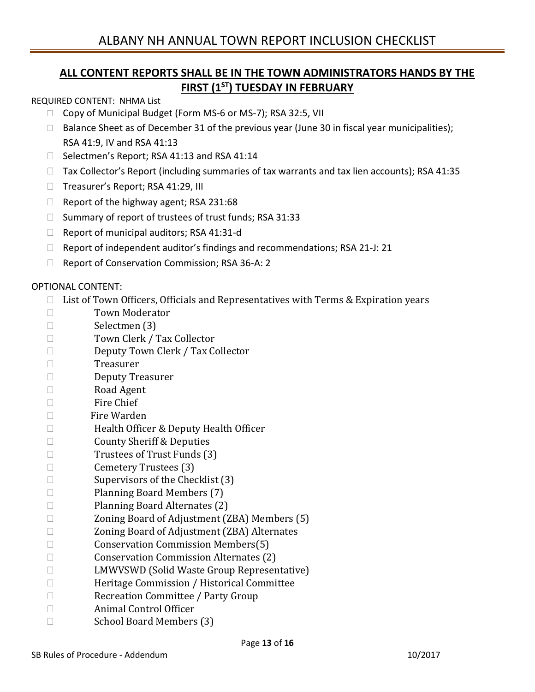## **ALL CONTENT REPORTS SHALL BE IN THE TOWN ADMINISTRATORS HANDS BY THE FIRST (1 ST) TUESDAY IN FEBRUARY**

REQUIRED CONTENT: NHMA List

- □ Copy of Municipal Budget (Form MS-6 or MS-7); RSA 32:5, VII
- $\Box$  Balance Sheet as of December 31 of the previous year (June 30 in fiscal year municipalities); RSA 41:9, IV and RSA 41:13
- □ Selectmen's Report; RSA 41:13 and RSA 41:14
- $\Box$  Tax Collector's Report (including summaries of tax warrants and tax lien accounts); RSA 41:35
- □ Treasurer's Report; RSA 41:29, III
- $\Box$  Report of the highway agent; RSA 231:68
- $\Box$  Summary of report of trustees of trust funds; RSA 31:33
- $\Box$  Report of municipal auditors; RSA 41:31-d
- $\Box$  Report of independent auditor's findings and recommendations; RSA 21-J: 21
- $\Box$  Report of Conservation Commission; RSA 36-A: 2

#### OPTIONAL CONTENT:

- $\Box$  List of Town Officers, Officials and Representatives with Terms & Expiration years
- □ Town Moderator
- Selectmen (3)
- □ Town Clerk / Tax Collector
- Deputy Town Clerk / Tax Collector
- Treasurer
- Deputy Treasurer
- Road Agent
- $\square$  Fire Chief
- □ Fire Warden
- □ Health Officer & Deputy Health Officer
- □ County Sheriff & Deputies
- $\square$  Trustees of Trust Funds (3)
- □ Cemetery Trustees (3)
- $\Box$  Supervisors of the Checklist (3)
- Planning Board Members (7)
- □ Planning Board Alternates (2)
- □ Zoning Board of Adjustment (ZBA) Members (5)
- □ Zoning Board of Adjustment (ZBA) Alternates
- □ Conservation Commission Members(5)
- □ Conservation Commission Alternates (2)
- □ LMWVSWD (Solid Waste Group Representative)
- Heritage Commission / Historical Committee
- □ Recreation Committee / Party Group
- Animal Control Officer
- □ School Board Members (3)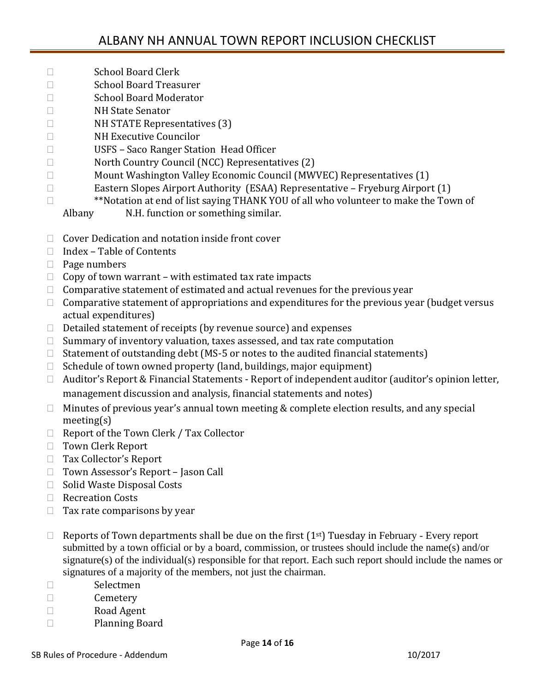- □ School Board Clerk
- □ School Board Treasurer
- □ School Board Moderator
- NH State Senator
- $\Box$  NH STATE Representatives (3)
- NH Executive Councilor
- USFS Saco Ranger Station Head Officer
- □ North Country Council (NCC) Representatives (2)
- □ Mount Washington Valley Economic Council (MWVEC) Representatives (1)
- Eastern Slopes Airport Authority (ESAA) Representative Fryeburg Airport (1)
- □ **\*\*Notation at end of list saying THANK YOU of all who volunteer to make the Town of** 
	- Albany N.H. function or something similar.
- $\Box$  Cover Dedication and notation inside front cover
- $\Box$  Index Table of Contents
- $\Box$  Page numbers
- $\Box$  Copy of town warrant with estimated tax rate impacts
- $\Box$  Comparative statement of estimated and actual revenues for the previous year
- $\Box$  Comparative statement of appropriations and expenditures for the previous year (budget versus actual expenditures)
- $\Box$  Detailed statement of receipts (by revenue source) and expenses
- $\Box$  Summary of inventory valuation, taxes assessed, and tax rate computation
- $\Box$  Statement of outstanding debt (MS-5 or notes to the audited financial statements)
- $\Box$  Schedule of town owned property (land, buildings, major equipment)
- □ Auditor's Report & Financial Statements Report of independent auditor (auditor's opinion letter, management discussion and analysis, financial statements and notes)
- $\Box$  Minutes of previous year's annual town meeting & complete election results, and any special meeting(s)
- $\Box$  Report of the Town Clerk / Tax Collector
- Town Clerk Report
- □ Tax Collector's Report
- □ Town Assessor's Report Jason Call
- □ Solid Waste Disposal Costs
- □ Recreation Costs
- $\Box$  Tax rate comparisons by year
- $\Box$  Reports of Town departments shall be due on the first (1<sup>st</sup>) Tuesday in February Every report submitted by a town official or by a board, commission, or trustees should include the name(s) and/or signature(s) of the individual(s) responsible for that report. Each such report should include the names or signatures of a majority of the members, not just the chairman.
- □ Selectmen
- □ Cemetery
- Road Agent
- Planning Board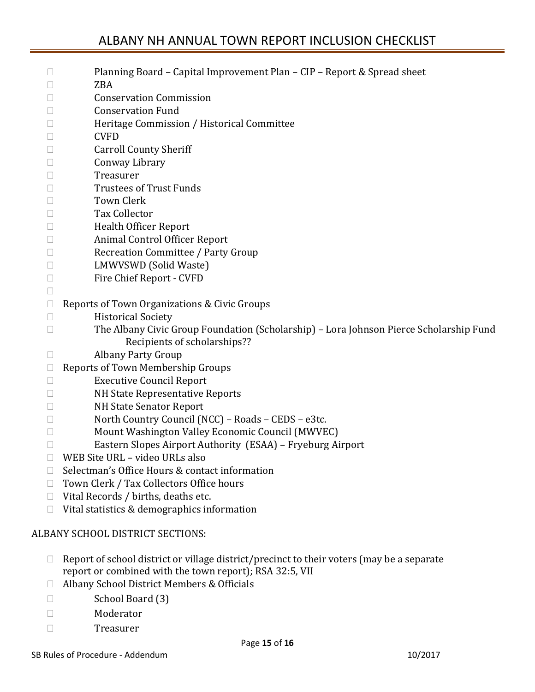## ALBANY NH ANNUAL TOWN REPORT INCLUSION CHECKLIST

| $\Box$      | Planning Board - Capital Improvement Plan - CIP - Report & Spread sheet                |
|-------------|----------------------------------------------------------------------------------------|
| $\Box$      | <b>ZBA</b>                                                                             |
| Ш           | <b>Conservation Commission</b>                                                         |
| L           | <b>Conservation Fund</b>                                                               |
| □           | Heritage Commission / Historical Committee                                             |
| L           | <b>CVFD</b>                                                                            |
| Ш           | <b>Carroll County Sheriff</b>                                                          |
| Ш           | Conway Library                                                                         |
| □           | Treasurer                                                                              |
| u           | <b>Trustees of Trust Funds</b>                                                         |
| L           | <b>Town Clerk</b>                                                                      |
| Ш           | <b>Tax Collector</b>                                                                   |
| □           | <b>Health Officer Report</b>                                                           |
| u           | Animal Control Officer Report                                                          |
| Ш           | Recreation Committee / Party Group                                                     |
| Ш           | LMWVSWD (Solid Waste)                                                                  |
| $\Box$      | Fire Chief Report - CVFD                                                               |
| $\Box$      |                                                                                        |
| $\Box$      | Reports of Town Organizations & Civic Groups                                           |
| $\Box$      | <b>Historical Society</b>                                                              |
| П           | The Albany Civic Group Foundation (Scholarship) - Lora Johnson Pierce Scholarship Fund |
|             | Recipients of scholarships??                                                           |
| $\Box$      | Albany Party Group                                                                     |
| $\Box$      | Reports of Town Membership Groups                                                      |
| Ш           | <b>Executive Council Report</b><br>NH State Representative Reports                     |
| Ш<br>$\Box$ | <b>NH State Senator Report</b>                                                         |
| Ш           | North Country Council (NCC) - Roads - CEDS - e3tc.                                     |
| Ш           | Mount Washington Valley Economic Council (MWVEC)                                       |
| Ш           | Eastern Slopes Airport Authority (ESAA) - Fryeburg Airport                             |
| □           | WEB Site URL - video URLs also                                                         |
| $\Box$      | Selectman's Office Hours & contact information                                         |
| $\Box$      | Town Clerk / Tax Collectors Office hours                                               |
| $\Box$      | Vital Records / births, deaths etc.                                                    |
|             |                                                                                        |

### ALBANY SCHOOL DISTRICT SECTIONS:

- $\Box$  Report of school district or village district/precinct to their voters (may be a separate report or combined with the town report); RSA 32:5, VII
- □ Albany School District Members & Officials
- □ School Board (3)
- Moderator
- Treasurer